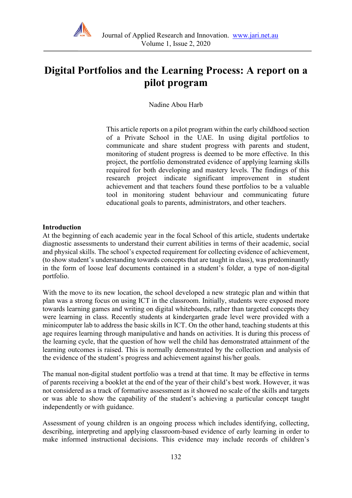

# **Digital Portfolios and the Learning Process: A report on a pilot program**

Nadine Abou Harb

This article reports on a pilot program within the early childhood section of a Private School in the UAE. In using digital portfolios to communicate and share student progress with parents and student, monitoring of student progress is deemed to be more effective. In this project, the portfolio demonstrated evidence of applying learning skills required for both developing and mastery levels. The findings of this research project indicate significant improvement in student achievement and that teachers found these portfolios to be a valuable tool in monitoring student behaviour and communicating future educational goals to parents, administrators, and other teachers.

#### **Introduction**

At the beginning of each academic year in the focal School of this article, students undertake diagnostic assessments to understand their current abilities in terms of their academic, social and physical skills. The school's expected requirement for collecting evidence of achievement, (to show student's understanding towards concepts that are taught in class), was predominantly in the form of loose leaf documents contained in a student's folder, a type of non-digital portfolio.

With the move to its new location, the school developed a new strategic plan and within that plan was a strong focus on using ICT in the classroom. Initially, students were exposed more towards learning games and writing on digital whiteboards, rather than targeted concepts they were learning in class. Recently students at kindergarten grade level were provided with a minicomputer lab to address the basic skills in ICT. On the other hand, teaching students at this age requires learning through manipulative and hands on activities. It is during this process of the learning cycle, that the question of how well the child has demonstrated attainment of the learning outcomes is raised. This is normally demonstrated by the collection and analysis of the evidence of the student's progress and achievement against his/her goals.

The manual non-digital student portfolio was a trend at that time. It may be effective in terms of parents receiving a booklet at the end of the year of their child's best work. However, it was not considered as a track of formative assessment as it showed no scale of the skills and targets or was able to show the capability of the student's achieving a particular concept taught independently or with guidance.

Assessment of young children is an ongoing process which includes identifying, collecting, describing, interpreting and applying classroom-based evidence of early learning in order to make informed instructional decisions. This evidence may include records of children's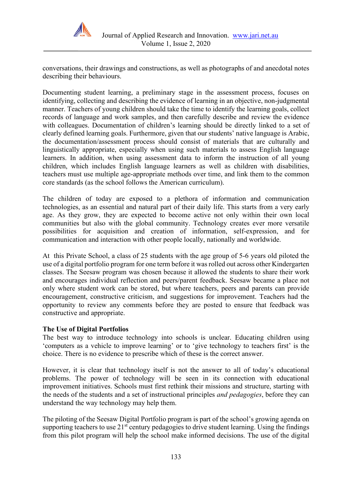

conversations, their drawings and constructions, as well as photographs of and anecdotal notes describing their behaviours.

Documenting student learning, a preliminary stage in the assessment process, focuses on identifying, collecting and describing the evidence of learning in an objective, non-judgmental manner. Teachers of young children should take the time to identify the learning goals, collect records of language and work samples, and then carefully describe and review the evidence with colleagues. Documentation of children's learning should be directly linked to a set of clearly defined learning goals. Furthermore, given that our students' native language is Arabic, the documentation/assessment process should consist of materials that are culturally and linguistically appropriate, especially when using such materials to assess English language learners. In addition, when using assessment data to inform the instruction of all young children, which includes English language learners as well as children with disabilities, teachers must use multiple age-appropriate methods over time, and link them to the common core standards (as the school follows the American curriculum).

The children of today are exposed to a plethora of information and communication technologies, as an essential and natural part of their daily life. This starts from a very early age. As they grow, they are expected to become active not only within their own local communities but also with the global community. Technology creates ever more versatile possibilities for acquisition and creation of information, self-expression, and for communication and interaction with other people locally, nationally and worldwide.

At this Private School, a class of 25 students with the age group of 5-6 years old piloted the use of a digital portfolio program for one term before it was rolled out across other Kindergarten classes. The Seesaw program was chosen because it allowed the students to share their work and encourages individual reflection and peers/parent feedback. Seesaw became a place not only where student work can be stored, but where teachers, peers and parents can provide encouragement, constructive criticism, and suggestions for improvement. Teachers had the opportunity to review any comments before they are posted to ensure that feedback was constructive and appropriate.

## **The Use of Digital Portfolios**

The best way to introduce technology into schools is unclear. Educating children using 'computers as a vehicle to improve learning' or to 'give technology to teachers first' is the choice. There is no evidence to prescribe which of these is the correct answer.

However, it is clear that technology itself is not the answer to all of today's educational problems. The power of technology will be seen in its connection with educational improvement initiatives. Schools must first rethink their missions and structure, starting with the needs of the students and a set of instructional principles *and pedagogies*, before they can understand the way technology may help them.

The piloting of the Seesaw Digital Portfolio program is part of the school's growing agenda on supporting teachers to use  $21<sup>st</sup>$  century pedagogies to drive student learning. Using the findings from this pilot program will help the school make informed decisions. The use of the digital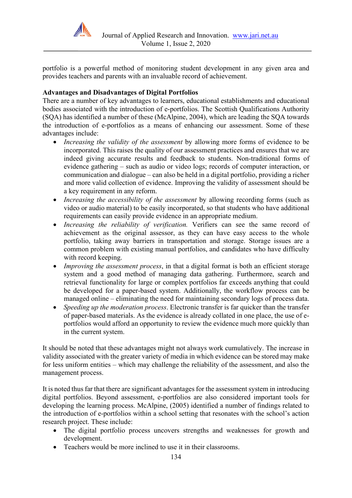

portfolio is a powerful method of monitoring student development in any given area and provides teachers and parents with an invaluable record of achievement.

## **Advantages and Disadvantages of Digital Portfolios**

There are a number of key advantages to learners, educational establishments and educational bodies associated with the introduction of e-portfolios. The Scottish Qualifications Authority (SQA) has identified a number of these (McAlpine, 2004), which are leading the SQA towards the introduction of e-portfolios as a means of enhancing our assessment. Some of these advantages include:

- *Increasing the validity of the assessment* by allowing more forms of evidence to be incorporated. This raises the quality of our assessment practices and ensures that we are indeed giving accurate results and feedback to students. Non-traditional forms of evidence gathering – such as audio or video logs; records of computer interaction, or communication and dialogue – can also be held in a digital portfolio, providing a richer and more valid collection of evidence. Improving the validity of assessment should be a key requirement in any reform.
- *Increasing the accessibility of the assessment* by allowing recording forms (such as video or audio material) to be easily incorporated, so that students who have additional requirements can easily provide evidence in an appropriate medium.
- *Increasing the reliability of verification.* Verifiers can see the same record of achievement as the original assessor, as they can have easy access to the whole portfolio, taking away barriers in transportation and storage. Storage issues are a common problem with existing manual portfolios, and candidates who have difficulty with record keeping.
- *Improving the assessment process*, in that a digital format is both an efficient storage system and a good method of managing data gathering. Furthermore, search and retrieval functionality for large or complex portfolios far exceeds anything that could be developed for a paper-based system. Additionally, the workflow process can be managed online – eliminating the need for maintaining secondary logs of process data.
- *Speeding up the moderation process*. Electronic transfer is far quicker than the transfer of paper-based materials. As the evidence is already collated in one place, the use of eportfolios would afford an opportunity to review the evidence much more quickly than in the current system.

It should be noted that these advantages might not always work cumulatively. The increase in validity associated with the greater variety of media in which evidence can be stored may make for less uniform entities – which may challenge the reliability of the assessment, and also the management process.

It is noted thus far that there are significant advantages for the assessment system in introducing digital portfolios. Beyond assessment, e-portfolios are also considered important tools for developing the learning process. McAlpine, (2005) identified a number of findings related to the introduction of e-portfolios within a school setting that resonates with the school's action research project. These include:

- The digital portfolio process uncovers strengths and weaknesses for growth and development.
- Teachers would be more inclined to use it in their classrooms.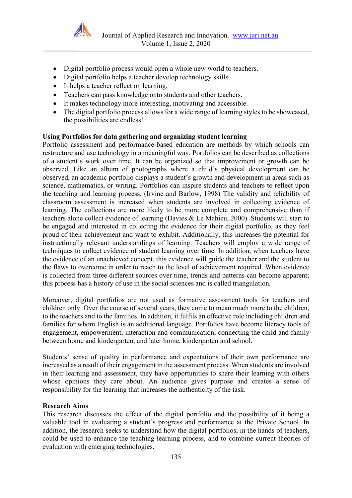

- Digital portfolio process would open a whole new world to teachers.
- Digital portfolio helps a teacher develop technology skills.
- It helps a teacher reflect on learning.
- Teachers can pass knowledge onto students and other teachers.
- It makes technology more interesting, motivating and accessible.
- The digital portfolio process allows for a wide range of learning styles to be showcased, the possibilities are endless!

## **Using Portfolios for data gathering and organizing student learning**

Portfolio assessment and performance-based education are methods by which schools can restructure and use technology in a meaningful way. Portfolios can be described as collections of a student's work over time. It can be organized so that improvement or growth can be observed. Like an album of photographs where a child's physical development can be observed, an academic portfolio displays a student's growth and development in areas such as science, mathematics, or writing. Portfolios can inspire students and teachers to reflect upon the teaching and learning process. (Irvine and Barlow, 1998) The validity and reliability of classroom assessment is increased when students are involved in collecting evidence of learning. The collections are more likely to be more complete and comprehensive than if teachers alone collect evidence of learning (Davies & Le Mahieu, 2000). Students will start to be engaged and interested in collecting the evidence for their digital portfolio, as they feel proud of their achievement and want to exhibit. Additionally, this increases the potential for instructionally relevant understandings of learning. Teachers will employ a wide range of techniques to collect evidence of student learning over time. In addition, when teachers have the evidence of an unachieved concept, this evidence will guide the teacher and the student to the flaws to overcome in order to reach to the level of achievement required. When evidence is collected from three different sources over time, trends and patterns can become apparent; this process has a history of use in the social sciences and is called triangulation*.*

Moreover, digital portfolios are not used as formative assessment tools for teachers and children only. Over the course of several years, they come to mean much more to the children, to the teachers and to the families. In addition, it fulfils an effective role including children and families for whom English is an additional language. Portfolios have become literacy tools of engagement, empowerment, interaction and communication, connecting the child and family between home and kindergarten, and later home, kindergarten and school.

Students' sense of quality in performance and expectations of their own performance are increased as a result of their engagement in the assessment process. When students are involved in their learning and assessment, they have opportunities to share their learning with others whose opinions they care about. An audience gives purpose and creates a sense of responsibility for the learning that increases the authenticity of the task.

## **Research Aims**

This research discusses the effect of the digital portfolio and the possibility of it being a valuable tool in evaluating a student's progress and performance at the Private School. In addition, the research seeks to understand how the digital portfolios, in the hands of teachers, could be used to enhance the teaching-learning process, and to combine current theories of evaluation with emerging technologies.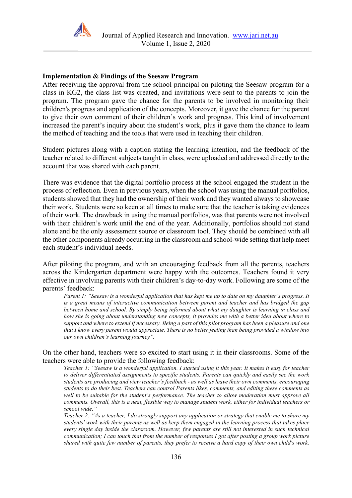

#### **Implementation & Findings of the Seesaw Program**

After receiving the approval from the school principal on piloting the Seesaw program for a class in KG2, the class list was created, and invitations were sent to the parents to join the program. The program gave the chance for the parents to be involved in monitoring their children's progress and application of the concepts. Moreover, it gave the chance for the parent to give their own comment of their children's work and progress. This kind of involvement increased the parent's inquiry about the student's work, plus it gave them the chance to learn the method of teaching and the tools that were used in teaching their children.

Student pictures along with a caption stating the learning intention, and the feedback of the teacher related to different subjects taught in class, were uploaded and addressed directly to the account that was shared with each parent.

There was evidence that the digital portfolio process at the school engaged the student in the process of reflection. Even in previous years, when the school was using the manual portfolios, students showed that they had the ownership of their work and they wanted always to showcase their work. Students were so keen at all times to make sure that the teacher is taking evidences of their work. The drawback in using the manual portfolios, was that parents were not involved with their children's work until the end of the year. Additionally, portfolios should not stand alone and be the only assessment source or classroom tool. They should be combined with all the other components already occurring in the classroom and school-wide setting that help meet each student's individual needs.

After piloting the program, and with an encouraging feedback from all the parents, teachers across the Kindergarten department were happy with the outcomes. Teachers found it very effective in involving parents with their children's day-to-day work. Following are some of the parents' feedback:

*Parent 1: "Seesaw is a wonderful application that has kept me up to date on my daughter's progress. It is a great means of interactive communication between parent and teacher and has bridged the gap between home and school. By simply being informed about what my daughter is learning in class and how she is going about understanding new concepts, it provides me with a better idea about where to support and where to extend if necessary. Being a part of this pilot program has been a pleasure and one that I know every parent would appreciate. There is no better feeling than being provided a window into our own children's learning journey".*

#### On the other hand, teachers were so excited to start using it in their classrooms. Some of the teachers were able to provide the following feedback:

*Teacher 1: "Seesaw is a wonderful application. I started using it this year. It makes it easy for teacher to deliver differentiated assignments to specific students. Parents can quickly and easily see the work students are producing and view teacher's feedback - as well as leave their own comments, encouraging students to do their best. Teachers can control Parents likes, comments, and editing these comments as*  well to be suitable for the student's performance. The teacher to allow moderation must approve all *comments. Overall, this is a neat, flexible way to manage student work, either for individual teachers or school wide."*

*Teacher 2: "As a teacher, I do strongly support any application or strategy that enable me to share my students' work with their parents as well as keep them engaged in the learning process that takes place every single day inside the classroom. However, few parents are still not interested in such technical communication; I can touch that from the number of responses I got after posting a group work picture shared with quite few number of parents, they prefer to receive a hard copy of their own child's work.*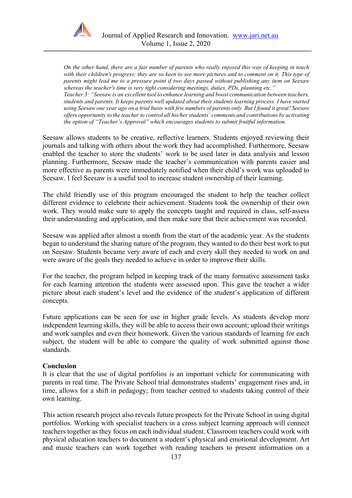

*On the other hand, there are a fair number of parents who really enjoyed this way of keeping in touch with their children's progress; they are so keen to see more pictures and to comment on it. This type of parents might lead me to a pressure point if two days passed without publishing any item on Seesaw whereas the teacher's time is very tight considering meetings, duties, PDs, planning etc."*

*Teacher 3: "Seesaw is an excellent tool to enhance learning and boost communication between teachers, students and parents. It keeps parents well updated about their students learning process. I have started using Seesaw one year ago on a trial basis with few numbers of parents only. But I found it great! Seesaw offers opportunity to the teacher to control all his/her students' comments and contributions by activating the option of "Teacher's Approval" which encourages students to submit fruitful information.*

Seesaw allows students to be creative, reflective learners. Students enjoyed reviewing their journals and talking with others about the work they had accomplished. Furthermore, Seesaw enabled the teacher to store the students' work to be used later in data analysis and lesson planning. Furthermore, Seesaw made the teacher's communication with parents easier and more effective as parents were immediately notified when their child's work was uploaded to Seesaw. I feel Seesaw is a useful tool to increase student ownership of their learning.

The child friendly use of this program encouraged the student to help the teacher collect different evidence to celebrate their achievement. Students took the ownership of their own work. They would make sure to apply the concepts taught and required in class, self-assess their understanding and application, and then make sure that their achievement was recorded.

Seesaw was applied after almost a month from the start of the academic year. As the students began to understand the sharing nature of the program, they wanted to do their best work to put on Seesaw. Students became very aware of each and every skill they needed to work on and were aware of the goals they needed to achieve in order to improve their skills.

For the teacher, the program helped in keeping track of the many formative assessment tasks for each learning attention the students were assessed upon. This gave the teacher a wider picture about each student's level and the evidence of the student's application of different concepts.

Future applications can be seen for use in higher grade levels. As students develop more independent learning skills, they will be able to access their own account; upload their writings and work samples and even their homework. Given the various standards of learning for each subject, the student will be able to compare the quality of work submitted against those standards.

## **Conclusion**

It is clear that the use of digital portfolios is an important vehicle for communicating with parents in real time. The Private School trial demonstrates students' engagement rises and, in time, allows for a shift in pedagogy; from teacher centred to students taking control of their own learning.

This action research project also reveals future prospects for the Private School in using digital portfolios. Working with specialist teachers in a cross subject learning approach will connect teachers together as they focus on each individual student. Classroom teachers could work with physical education teachers to document a student's physical and emotional development. Art and music teachers can work together with reading teachers to present information on a